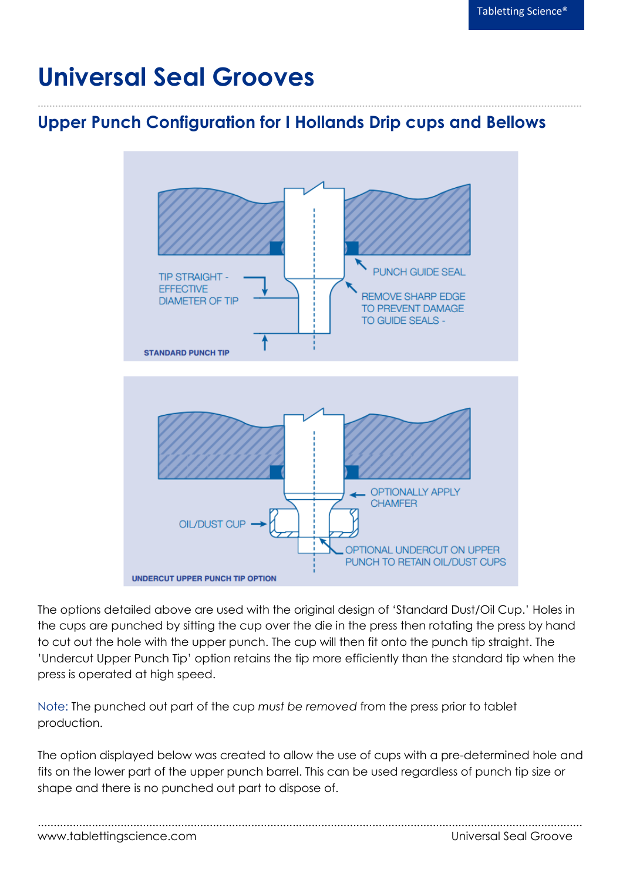## **Universal Seal Grooves**

## **Upper Punch Configuration for I Hollands Drip cups and Bellows**

**..........................................................................................................................................................................................**



The options detailed above are used with the original design of 'Standard Dust/Oil Cup.' Holes in the cups are punched by sitting the cup over the die in the press then rotating the press by hand to cut out the hole with the upper punch. The cup will then fit onto the punch tip straight. The 'Undercut Upper Punch Tip' option retains the tip more efficiently than the standard tip when the press is operated at high speed.

Note: The punched out part of the cup *must be removed* from the press prior to tablet production.

The option displayed below was created to allow the use of cups with a pre-determined hole and fits on the lower part of the upper punch barrel. This can be used regardless of punch tip size or shape and there is no punched out part to dispose of.

| www.tablettingscience.com | Universal Seal Groove |
|---------------------------|-----------------------|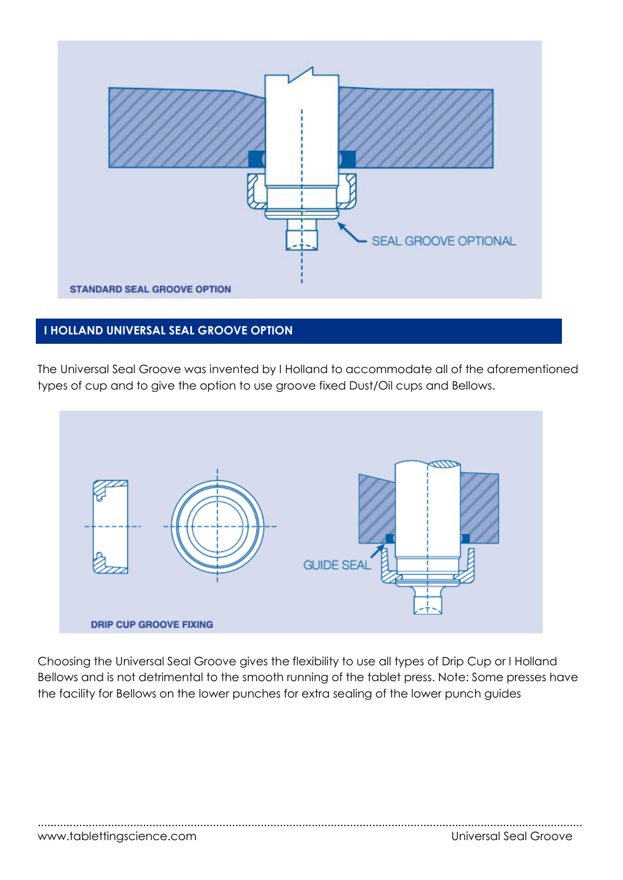

## **I HOLLAND UNIVERSAL SEAL GROOVE OPTION**

The Universal Seal Groove was invented by I Holland to accommodate all of the aforementioned types of cup and to give the option to use groove fixed Dust/Oil cups and Bellows.



Choosing the Universal Seal Groove gives the flexibility to use all types of Drip Cup or I Holland Bellows and is not detrimental to the smooth running of the tablet press. Note: Some presses have the facility for Bellows on the lower punches for extra sealing of the lower punch guides